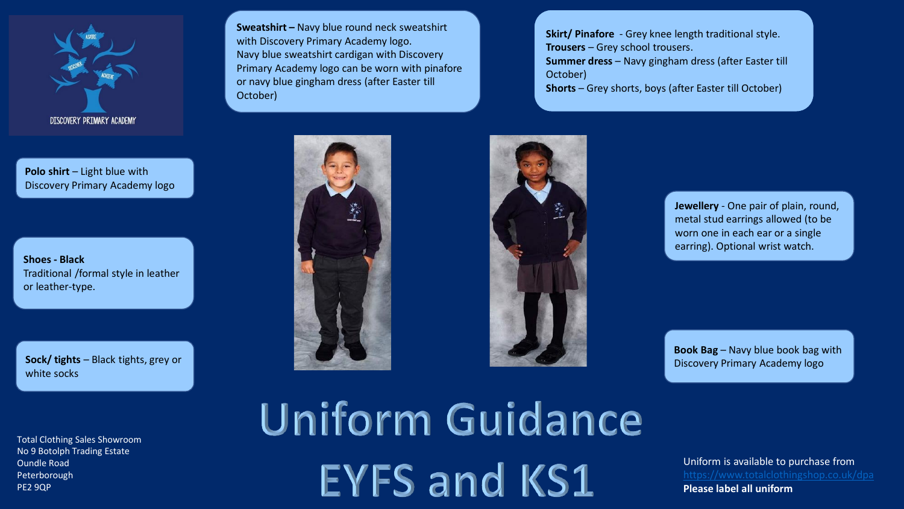

**Polo shirt** – Light blue with Discovery Primary Academy logo

**Shoes - Black** Traditional /formal style in leather or leather-type.

**Sock/ tights** – Black tights, grey or white socks

Total Clothing Sales Showroom No 9 Botolph Trading Estate Oundle Road Peterborough PE2 9QP

**Sweatshirt –** Navy blue round neck sweatshirt with Discovery Primary Academy logo. Navy blue sweatshirt cardigan with Discovery Primary Academy logo can be worn with pinafore or navy blue gingham dress (after Easter till October)

**Skirt/ Pinafore** - Grey knee length traditional style. **Trousers** – Grey school trousers. **Summer dress** – Navy gingham dress (after Easter till October) **Shorts** – Grey shorts, boys (after Easter till October)





**Jewellery** - One pair of plain, round, metal stud earrings allowed (to be worn one in each ear or a single earring). Optional wrist watch.

**Book Bag** – Navy blue book bag with Discovery Primary Academy logo

**Uniform Guidance EYFS and KS1** 

Uniform is available to purchase from **Please label all uniform**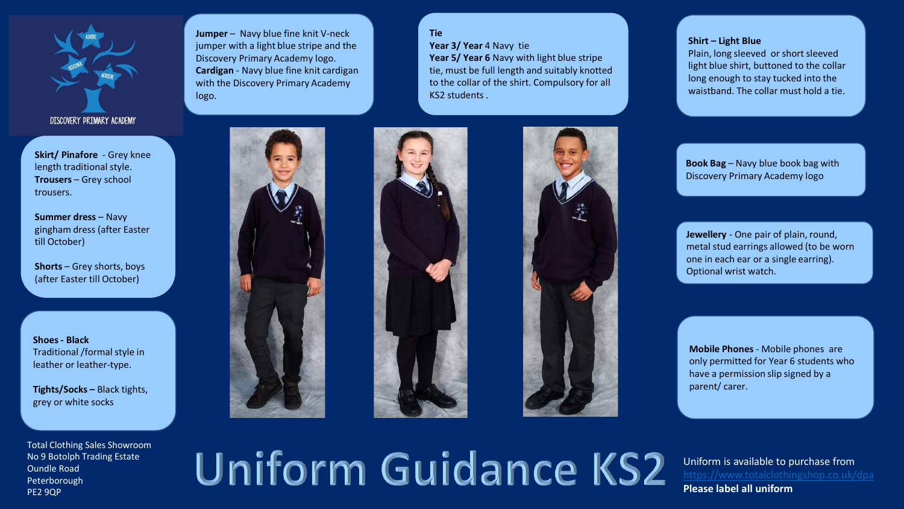

**Skirt/ Pinafore** - Grey knee length traditional style. **Trousers** – Grey school trousers.

**Summer dress – Navy** gingham dress (after Easter till October)

**Shorts** – Grey shorts, boys (after Easter till October)

**Shoes - Black** Traditional /formal style in leather or leather-type.

**Tights/Socks –** Black tights, grey or white socks

Total Clothing Sales Showroom No 9 Botolph Trading Estate Oundle Road Peterborough PE2 9QP

**Jumper** – Navy blue fine knit V-neck jumper with a light blue stripe and the Discovery Primary Academy logo. **Cardigan** - Navy blue fine knit cardigan with the Discovery Primary Academy logo.

**Tie** Year 3/ Year 4 Navy tie **Year 5/ Year 6** Navy with light blue stripe tie, must be full length and suitably knotted to the collar of the shirt. Compulsory for all KS2 students .



## **Shirt – Light Blue**

Plain, long sleeved or short sleeved light blue shirt, buttoned to the collar long enough to stay tucked into the waistband. The collar must hold a tie.

**Book Bag** – Navy blue book bag with Discovery Primary Academy logo

**Jewellery** - One pair of plain, round, metal stud earrings allowed (to be worn one in each ear or a single earring). Optional wrist watch.

**Mobile Phones** - Mobile phones are only permitted for Year 6 students who have a permission slip signed by a parent/ carer.

## Uniform Guidance KS2

Uniform is available to purchase from **Please label all uniform**